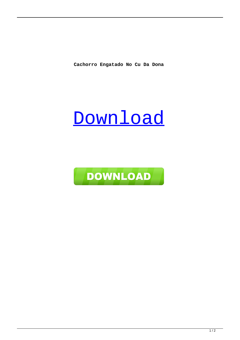**Cachorro Engatado No Cu Da Dona**